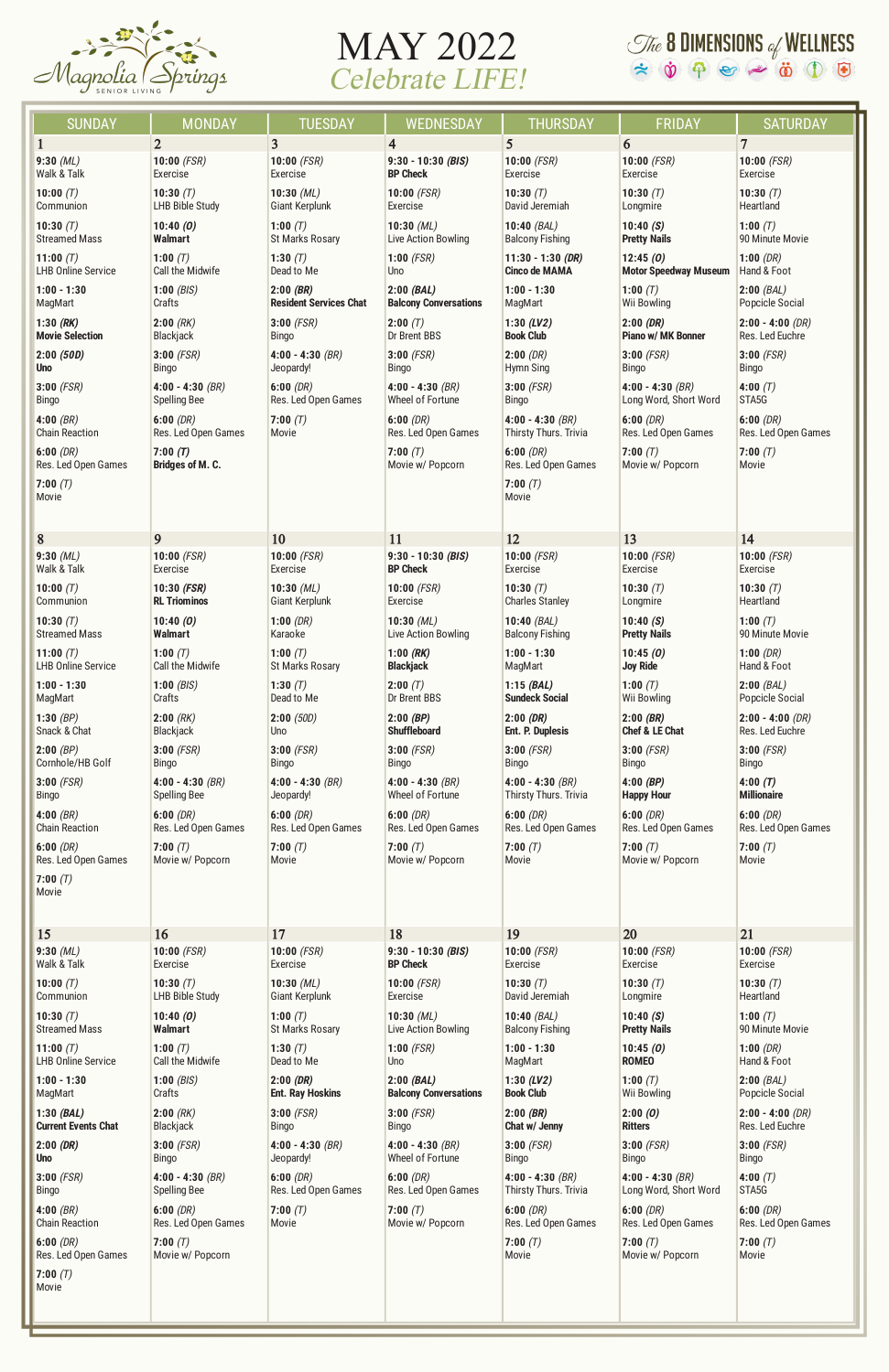

## MAY 2022 Celebrate LIFE!

## $\mathcal{I}$  **8 DIMENSIONS** of WELLNESS<br>  $\Leftrightarrow$   $\dot{\phi}$   $\Leftrightarrow$   $\Leftrightarrow$   $\ddot{\phi}$   $\ddot{\phi}$   $\Leftrightarrow$   $\ddot{\phi}$   $\ddot{\phi}$

| <b>SUNDAY</b>                   | <b>MONDAY</b>               | <b>TUESDAY</b>                | WEDNESDAY                    | <b>THURSDAY</b>         | <b>FRIDAY</b>                  | <b>SATURDAY</b>     |
|---------------------------------|-----------------------------|-------------------------------|------------------------------|-------------------------|--------------------------------|---------------------|
| $\mathbf{1}$                    | $\overline{2}$              | 3 <sup>1</sup>                | $\overline{4}$               | 5                       | 6                              | $\overline{7}$      |
| $9:30$ (ML)                     | 10:00 $(FSR)$               | $10:00$ (FSR)                 | $9:30 - 10:30$ (BIS)         | 10:00 $(FSR)$           | $10:00$ (FSR)                  | 10:00 $(FSR)$       |
| Walk & Talk                     | Exercise                    | Exercise                      | <b>BP Check</b>              | <b>Exercise</b>         | Exercise                       | Exercise            |
| 10:00 $(T)$                     | 10:30 $(T)$                 | $10:30$ (ML)                  | $10:00$ (FSR)                | 10:30 $(T)$             | 10:30 $(T)$                    | 10:30 $(T)$         |
| Communion                       | <b>LHB Bible Study</b>      | <b>Giant Kerplunk</b>         | Exercise                     | David Jeremiah          | Longmire                       | Heartland           |
| 10:30 $(T)$                     | 10:40(0)                    | 1:00 $(T)$                    | 10:30 $(ML)$                 | 10:40 $(BAL)$           | 10:40(S)                       | 1:00 $(T)$          |
| <b>Streamed Mass</b>            | <b>Walmart</b>              | <b>St Marks Rosary</b>        | Live Action Bowling          | <b>Balcony Fishing</b>  | <b>Pretty Nails</b>            | 90 Minute Movie     |
| 11:00 $(T)$                     | 1:00 $(T)$                  | 1:30 $(T)$                    | $1:00$ (FSR)                 | $11:30 - 1:30$ (DR)     | 12:45(0)                       | 1:00(DR)            |
| <b>LHB Online Service</b>       | Call the Midwife            | Dead to Me                    | Uno                          | <b>Cinco de MAMA</b>    | <b>Motor Speedway Museum</b>   | Hand & Foot         |
| $1:00 - 1:30$                   | 1:00 $(BIS)$                | $2:00$ (BR)                   | 2:00(BAL)                    | $1:00 - 1:30$           | 1:00 $(T)$                     | $2:00$ (BAL)        |
| MagMart                         | Crafts                      | <b>Resident Services Chat</b> | <b>Balcony Conversations</b> | MagMart                 | <b>Wii Bowling</b>             | Popcicle Social     |
| 1:30 $(RK)$                     | $2:00$ (RK)                 | $3:00$ (FSR)                  | 2:00(T)                      | 1:30 $(LV2)$            | 2:00(DR)                       | $2:00 - 4:00$ (DR)  |
| <b>Movie Selection</b>          | Blackjack                   | <b>Bingo</b>                  | Dr Brent BBS                 | <b>Book Club</b>        | <b>Piano w/ MK Bonner</b>      | Res. Led Euchre     |
| 2:00(50D)                       | $3:00$ (FSR)                | 4:00 - 4:30 $(BR)$            | $3:00$ (FSR)                 | 2:00(DR)                | $3:00$ (FSR)                   | $3:00$ (FSR)        |
| <b>Uno</b>                      | Bingo                       | Jeopardy!                     | Bingo                        | Hymn Sing               | Bingo                          | Bingo               |
| $3:00$ (FSR)                    | 4:00 - 4:30 $(BR)$          | 6:00(DR)                      | $4:00 - 4:30$ (BR)           | $3:00$ (FSR)            | 4:00 - 4:30 $(BR)$             | 4:00 $(T)$          |
| Bingo                           | <b>Spelling Bee</b>         | Res. Led Open Games           | Wheel of Fortune             | <b>Bingo</b>            | Long Word, Short Word          | STA5G               |
| 4:00 $(BR)$                     | 6:00(DR)                    | 7:00(T)                       | 6:00(DR)                     | $4:00 - 4:30$ (BR)      | 6:00(DR)                       | 6:00(DR)            |
| <b>Chain Reaction</b>           | Res. Led Open Games         | Movie                         | Res. Led Open Games          | Thirsty Thurs. Trivia   | Res. Led Open Games            | Res. Led Open Games |
| 6:00(DR)                        | 7:00(T)                     |                               | 7:00 $(T)$                   | 6:00(DR)                | 7:00(T)                        | 7:00 $(T)$          |
| Res. Led Open Games             | <b>Bridges of M. C.</b>     |                               | Movie w/ Popcorn             | Res. Led Open Games     | Movie w/ Popcorn               | Movie               |
| 7:00 $(T)$<br>Movie             |                             |                               |                              | 7:00 $(T)$<br>Movie     |                                |                     |
| 8                               | 9                           | 10                            | 11                           | 12                      | 13                             | 14                  |
| $9:30$ (ML)                     | 10:00 $(FSR)$               | $10:00$ (FSR)                 | $9:30 - 10:30$ (BIS)         | 10:00 $(FSR)$           | $10:00$ (FSR)                  | $10:00$ (FSR)       |
| Walk & Talk                     | Exercise                    | Exercise                      | <b>BP Check</b>              | Exercise                | Exercise                       | Exercise            |
| 10:00 $(T)$                     | 10:30 (FSR)                 | $10:30$ (ML)                  | $10:00$ (FSR)                | 10:30 $(T)$             | 10:30 $(T)$                    | 10:30 $(T)$         |
| Communion                       | <b>RL Triominos</b>         | <b>Giant Kerplunk</b>         | Exercise                     | <b>Charles Stanley</b>  | Longmire                       | Heartland           |
| 10:30 $(T)$                     | 10:40(0)                    | 1:00(DR)                      | 10:30 $(ML)$                 | 10:40 $(BAL)$           | 10:40(S)                       | 1:00 $(T)$          |
| <b>Streamed Mass</b>            | <b>Walmart</b>              | Karaoke                       | Live Action Bowling          | <b>Balcony Fishing</b>  | <b>Pretty Nails</b>            | 90 Minute Movie     |
| 11:00 $(T)$                     | 1:00 $(T)$                  | 1:00 $(T)$                    | $1:00$ (RK)                  | $1:00 - 1:30$           | 10:45(0)                       | 1:00(DR)            |
| <b>LHB Online Service</b>       | Call the Midwife            | <b>St Marks Rosary</b>        | <b>Blackjack</b>             | MagMart                 | <b>Joy Ride</b>                | Hand & Foot         |
| $1:00 - 1:30$                   | 1:00 $(BIS)$                | 1:30 $(T)$                    | 2:00(T)                      | $1:15$ (BAL)            | 1:00 $(T)$                     | $2:00$ (BAL)        |
| MagMart                         | Crafts                      | Dead to Me                    | Dr Brent BBS                 | <b>Sundeck Social</b>   | <b>Wii Bowling</b>             | Popcicle Social     |
| 1:30 $(BP)$                     | $2:00$ (RK)                 | 2:00(50D)                     | $2:00$ (BP)                  | 2:00(DR)                | $2:00$ (BR)                    | $2:00 - 4:00$ (DR)  |
| Snack & Chat                    | Blackjack                   | Uno                           | <b>Shuffleboard</b>          | <b>Ent. P. Duplesis</b> | <b>Chef &amp; LE Chat</b>      | Res. Led Euchre     |
| 2:00(PP)                        | $3:00$ (FSR)                | $3:00$ (FSR)                  | $3:00$ (FSR)                 | $3:00$ (FSR)            | $3:00$ (FSR)                   | $3:00$ (FSR)        |
| Cornhole/HB Golf                | Bingo                       | Bingo                         | <b>Bingo</b>                 | Bingo                   | <b>Bingo</b>                   | Bingo               |
| $3:00$ (FSR)                    | $4:00 - 4:30$ (BR)          | $4:00 - 4:30$ (BR)            | $4:00 - 4:30$ (BR)           | $4:00 - 4:30$ (BR)      | $4:00$ (BP)                    | 4:00(T)             |
| Bingo                           | <b>Spelling Bee</b>         | Jeopardy!                     | Wheel of Fortune             | Thirsty Thurs. Trivia   | <b>Happy Hour</b>              | <b>Millionaire</b>  |
| 4:00 $(BR)$                     | 6:00(DR)                    | 6:00(DR)                      | 6:00(DR)                     | 6:00(DR)                | 6:00(DR)                       | 6:00(DR)            |
| <b>Chain Reaction</b>           | Res. Led Open Games         | Res. Led Open Games           | Res. Led Open Games          | Res. Led Open Games     | Res. Led Open Games            | Res. Led Open Games |
| 6:00(DR)                        | 7:00(T)                     | 7:00(T)                       | 7:00 $(T)$                   | 7:00(T)                 | 7:00 $(T)$                     | 7:00 $(T)$          |
| Res. Led Open Games             | Movie w/ Popcorn            | Movie                         | Movie w/ Popcorn             | Movie                   | Movie w/ Popcorn               | Movie               |
| 7:00 $(T)$<br>Movie             |                             |                               |                              |                         |                                |                     |
|                                 |                             |                               |                              |                         |                                |                     |
| 15                              | 16                          | 17                            | 18                           | 19                      | 20                             | 21                  |
| $9:30$ (ML)                     | 10:00 $(FSR)$               | $10:00$ (FSR)                 | $9:30 - 10:30$ (BIS)         | 10:00 $(FSR)$           | $10:00$ (FSR)                  | 10:00 $(FSR)$       |
| Walk & Talk                     | Exercise                    | Exercise                      | <b>BP Check</b>              | Exercise                | Exercise                       | Exercise            |
| 10:00 $(T)$                     | 10:30 $(T)$                 | $10:30$ (ML)                  | 10:00 $(FSR)$                | 10:30 $(T)$             | 10:30 $(T)$                    | 10:30 $(T)$         |
| Communion                       | <b>LHB Bible Study</b>      | <b>Giant Kerplunk</b>         | Exercise                     | David Jeremiah          | Longmire                       | Heartland           |
| 10:30 $(T)$                     | 10:40(0)                    | 1:00 $(T)$                    | 10:30 $(ML)$                 | 10:40 $(BAL)$           | 10:40(S)                       | 1:00 $(T)$          |
| <b>Streamed Mass</b>            | <b>Walmart</b>              | <b>St Marks Rosary</b>        | Live Action Bowling          | <b>Balcony Fishing</b>  | <b>Pretty Nails</b>            | 90 Minute Movie     |
| 11:00 $(T)$                     | 1:00 $(T)$                  | 1:30 $(T)$                    | $1:00$ (FSR)                 | $1:00 - 1:30$           | 10:45(0)                       | 1:00(DR)            |
| <b>LHB Online Service</b>       | Call the Midwife            | Dead to Me                    | Uno                          | MagMart                 | <b>ROMEO</b>                   | Hand & Foot         |
| $1:00 - 1:30$                   | 1:00(BIS)                   | 2:00(DR)                      | 2:00(BAL)                    | 1:30 $(LV2)$            | 1:00 $(T)$                     | $2:00$ (BAL)        |
| MagMart                         | Crafts                      | <b>Ent. Ray Hoskins</b>       | <b>Balcony Conversations</b> | <b>Book Club</b>        | <b>Wii Bowling</b>             | Popcicle Social     |
| 1:30(BAL)                       | $2:00$ (RK)                 | $3:00$ (FSR)                  | $3:00$ (FSR)                 | $2:00$ (BR)             | 2:00(0)                        | $2:00 - 4:00$ (DR)  |
| <b>Current Events Chat</b>      | Blackjack                   | <b>Bingo</b>                  | Bingo                        | Chat w/ Jenny           | <b>Ritters</b>                 | Res. Led Euchre     |
| 2:00(DR)                        | $3:00$ (FSR)                | $4:00 - 4:30$ (BR)            | $4:00 - 4:30$ (BR)           | $3:00$ (FSR)            | $3:00$ (FSR)                   | $3:00$ (FSR)        |
| <b>Uno</b>                      | <b>Bingo</b>                | Jeopardy!                     | Wheel of Fortune             | <b>Bingo</b>            | <b>Bingo</b>                   | Bingo               |
| $3:00$ (FSR)                    | 4:00 - 4:30 $(BR)$          | 6:00(DR)                      | 6:00(DR)                     | $4:00 - 4:30$ (BR)      | $4:00 - 4:30$ (BR)             | 4:00 $(T)$          |
| <b>Bingo</b>                    | <b>Spelling Bee</b>         | Res. Led Open Games           | Res. Led Open Games          | Thirsty Thurs. Trivia   | Long Word, Short Word          | STA5G               |
| 4:00 $(BR)$                     | 6:00(DR)                    | 7:00(T)                       | 7:00 $(T)$                   | 6:00(DR)                | 6:00(DR)                       | 6:00(DR)            |
| <b>Chain Reaction</b>           | Res. Led Open Games         | Movie                         | Movie w/ Popcorn             | Res. Led Open Games     | Res. Led Open Games            | Res. Led Open Games |
| 6:00(DR)<br>Res. Led Open Games | 7:00(T)<br>Movie w/ Popcorn |                               |                              | 7:00 $(T)$<br>Movie     | 7:00 $(T)$<br>Movie w/ Popcorn | 7:00 $(T)$<br>Movie |
| 7:00 $(T)$                      |                             |                               |                              |                         |                                |                     |
| Movie                           |                             |                               |                              |                         |                                |                     |
|                                 |                             |                               |                              |                         |                                |                     |